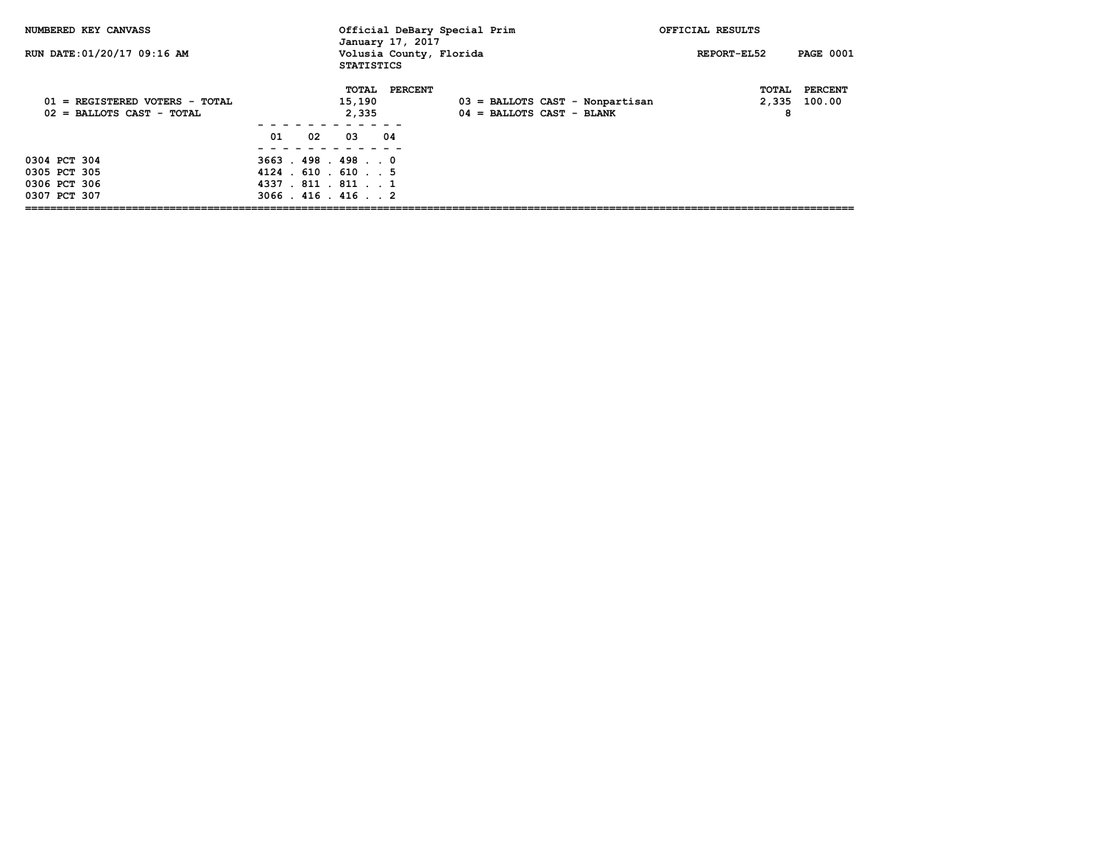| NUMBERED KEY CANVASS                                          |                                                                                                        |                                      | Official DeBary Special Prim<br>January 17, 2017 |                             |                                   | OFFICIAL RESULTS |                     |                          |
|---------------------------------------------------------------|--------------------------------------------------------------------------------------------------------|--------------------------------------|--------------------------------------------------|-----------------------------|-----------------------------------|------------------|---------------------|--------------------------|
| RUN DATE: 01/20/17 09:16 AM                                   |                                                                                                        | <b>STATISTICS</b>                    | Volusia County, Florida                          |                             |                                   | REPORT-EL52      |                     | <b>PAGE 0001</b>         |
| 01 = REGISTERED VOTERS - TOTAL<br>$02$ = BALLOTS CAST - TOTAL | 01<br>02                                                                                               | TOTAL<br>15,190<br>2,335<br>04<br>03 | <b>PERCENT</b>                                   | $04$ = BALLOTS CAST - BLANK | $03$ = BALLOTS CAST - Nonpartisan |                  | TOTAL<br>2,335<br>8 | <b>PERCENT</b><br>100.00 |
| 0304 PCT 304<br>0305 PCT 305<br>0306 PCT 306<br>0307 PCT 307  | $3663$ $.498$ $.498$ $.0$<br>$4124$ $610$ $610$ $15$<br>4337 . 811 . 811 1<br>$3066$ . $416$ . $416$ 2 |                                      |                                                  |                             |                                   |                  |                     |                          |